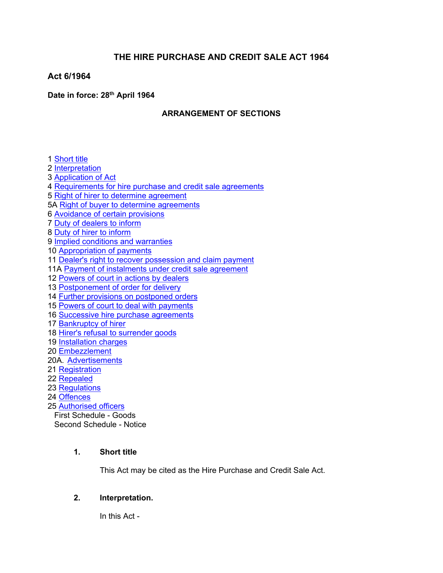# **THE HIRE PURCHASE AND CREDIT SALE ACT 1964**

## **Act 6/1964**

## **Date in force: 28th April 1964**

## **ARRANGEMENT OF SECTIONS**

 [Short](#page-0-0) title [Interpretation](#page-0-1) [Application](#page-3-0) of Act [Requirements](#page-4-0) for hire purchase and credit sale agreements Right of hirer to determine [agreement](#page-5-0) 5A Right of buyer to determine [agreements](#page-6-0) [Avoidance](#page-7-0) of certain provisions Duty of [dealers](#page-7-1) to inform Duty of hirer to [inform](#page-8-0) Implied conditions and [warranties](#page-8-1) [Appropriation](#page-9-0) of payments 11 Dealer's right to recover [possession](#page-9-1) and claim payment 11A Payment of instalments under credit sale agreement [Powers](#page-10-0) of court in actions by dealers [Postponement](#page-12-0) of order for delivery Further provisions on [postponed](#page-13-0) orders Powers of court to deal with [payments](#page-14-0) Successive hire purchase [agreements](#page-14-1) [Bankruptcy](#page-14-2) of hirer Hirer's refusal to [surrender](#page-15-0) goods [Installation](#page-15-1) charges [Embezzlement](#page-15-2) 20A. [Advertisements](#page-15-3) Registration [Repealed](#page-16-0) [Regulations](#page-16-1) [Offences](#page-17-0) [Authorised](#page-17-1) officers First Schedule - Goods Second Schedule - Notice

## **1. Short title**

<span id="page-0-0"></span>This Act may be cited as the Hire Purchase and Credit Sale Act.

## <span id="page-0-1"></span>**2. Interpretation.**

In this Act -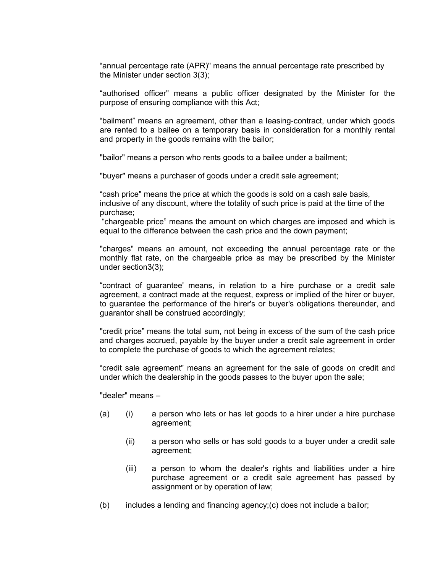"annual percentage rate (APR)" means the annual percentage rate prescribed by the Minister under section 3(3);

"authorised officer" means a public officer designated by the Minister for the purpose of ensuring compliance with this Act;

"bailment" means an agreement, other than a leasing-contract, under which goods are rented to a bailee on a temporary basis in consideration for a monthly rental and property in the goods remains with the bailor;

"bailor" means a person who rents goods to a bailee under a bailment;

"buyer" means a purchaser of goods under a credit sale agreement;

"cash price" means the price at which the goods is sold on a cash sale basis, inclusive of any discount, where the totality of such price is paid at the time of the purchase;

"chargeable price" means the amount on which charges are imposed and which is equal to the difference between the cash price and the down payment;

"charges" means an amount, not exceeding the annual percentage rate or the monthly flat rate, on the chargeable price as may be prescribed by the Minister under section3(3);

"contract of guarantee' means, in relation to a hire purchase or a credit sale agreement, a contract made at the request, express or implied of the hirer or buyer, to guarantee the performance of the hirer's or buyer's obligations thereunder, and guarantor shall be construed accordingly;

"credit price" means the total sum, not being in excess of the sum of the cash price and charges accrued, payable by the buyer under a credit sale agreement in order to complete the purchase of goods to which the agreement relates;

"credit sale agreement" means an agreement for the sale of goods on credit and under which the dealership in the goods passes to the buyer upon the sale;

"dealer" means –

- (a) (i) a person who lets or has let goods to a hirer under a hire purchase agreement;
	- (ii) a person who sells or has sold goods to a buyer under a credit sale agreement;
	- (iii) a person to whom the dealer's rights and liabilities under a hire purchase agreement or a credit sale agreement has passed by assignment or by operation of law;
- (b) includes a lending and financing agency;(c) does not include a bailor;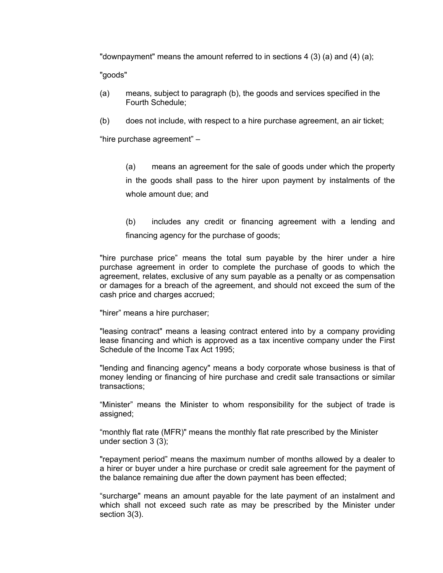"downpayment" means the amount referred to in sections 4 (3) (a) and (4) (a);

"goods"

- (a) means, subject to paragraph (b), the goods and services specified in the Fourth Schedule;
- (b) does not include, with respect to a hire purchase agreement, an air ticket;

"hire purchase agreement" –

(a) means an agreement for the sale of goods under which the property in the goods shall pass to the hirer upon payment by instalments of the whole amount due; and

(b) includes any credit or financing agreement with a lending and financing agency for the purchase of goods;

"hire purchase price" means the total sum payable by the hirer under a hire purchase agreement in order to complete the purchase of goods to which the agreement, relates, exclusive of any sum payable as a penalty or as compensation or damages for a breach of the agreement, and should not exceed the sum of the cash price and charges accrued;

"hirer" means a hire purchaser;

"leasing contract" means a leasing contract entered into by a company providing lease financing and which is approved as a tax incentive company under the First Schedule of the Income Tax Act 1995;

"lending and financing agency" means a body corporate whose business is that of money lending or financing of hire purchase and credit sale transactions or similar transactions;

"Minister" means the Minister to whom responsibility for the subject of trade is assigned;

"monthly flat rate (MFR)" means the monthly flat rate prescribed by the Minister under section 3 (3);

"repayment period" means the maximum number of months allowed by a dealer to a hirer or buyer under a hire purchase or credit sale agreement for the payment of the balance remaining due after the down payment has been effected;

"surcharge" means an amount payable for the late payment of an instalment and which shall not exceed such rate as may be prescribed by the Minister under section 3(3).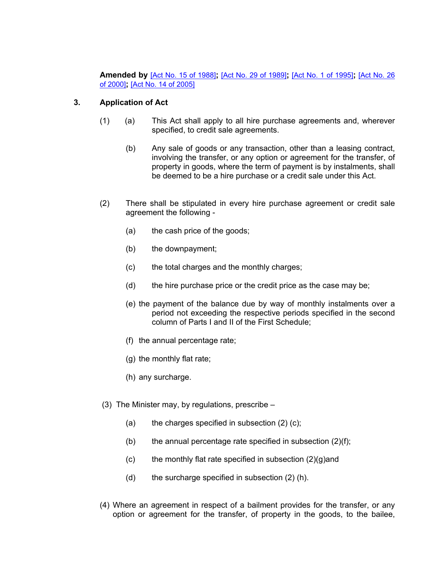**Amended by** [Act No. 15 of [1988\]](https://supremecourt.govmu.org/_layouts/CLIS.DMS/search/searchdocumentbykey.aspx?ID=%5BAct%20No.%2015%20of%201988%5D&list=Legislations)**;** [Act No. 29 of [1989\]](https://supremecourt.govmu.org/_layouts/CLIS.DMS/search/searchdocumentbykey.aspx?ID=%5BAct%20No.%2029%20of%201989%5D&list=Legislations)**;** [Act No. 1 of [1995\]](https://supremecourt.govmu.org/_layouts/CLIS.DMS/search/searchdocumentbykey.aspx?ID=%5BAct%20No.%201%20of%201995%5D&list=Legislations)**;** [\[Act](https://supremecourt.govmu.org/_layouts/CLIS.DMS/search/searchdocumentbykey.aspx?ID=%5BAct%20No.%2026%20of%202000%5D&list=Legislations) No. 26 of [2000\]](https://supremecourt.govmu.org/_layouts/CLIS.DMS/search/searchdocumentbykey.aspx?ID=%5BAct%20No.%2026%20of%202000%5D&list=Legislations)**;** [Act No. 14 of [2005\]](https://supremecourt.govmu.org/_layouts/CLIS.DMS/search/searchdocumentbykey.aspx?ID=%5BAct%20No.%2014%20of%202005%5D&list=Legislations)

## **3. Application of Act**

- <span id="page-3-0"></span>(1) (a) This Act shall apply to all hire purchase agreements and, wherever specified, to credit sale agreements.
	- (b) Any sale of goods or any transaction, other than a leasing contract, involving the transfer, or any option or agreement for the transfer, of property in goods, where the term of payment is by instalments, shall be deemed to be a hire purchase or a credit sale under this Act.
- (2) There shall be stipulated in every hire purchase agreement or credit sale agreement the following -
	- (a) the cash price of the goods;
	- (b) the downpayment;
	- (c) the total charges and the monthly charges;
	- (d) the hire purchase price or the credit price as the case may be;
	- (e) the payment of the balance due by way of monthly instalments over a period not exceeding the respective periods specified in the second column of Parts I and II of the First Schedule;
	- (f) the annual percentage rate;
	- (g) the monthly flat rate;
	- (h) any surcharge.
- (3) The Minister may, by regulations, prescribe
	- (a) the charges specified in subsection  $(2)$  (c);
	- (b) the annual percentage rate specified in subsection (2)(f);
	- (c) the monthly flat rate specified in subsection  $(2)(q)$  and
	- (d) the surcharge specified in subsection (2) (h).
- (4) Where an agreement in respect of a bailment provides for the transfer, or any option or agreement for the transfer, of property in the goods, to the bailee,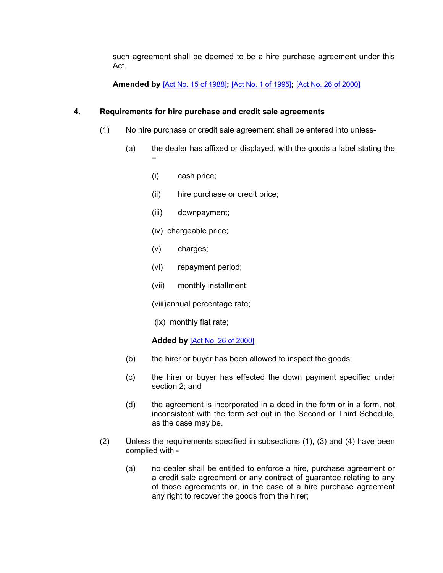such agreement shall be deemed to be a hire purchase agreement under this Act.

**Amended by** [Act No. 15 of [1988\]](https://supremecourt.govmu.org/_layouts/CLIS.DMS/search/searchdocumentbykey.aspx?ID=%5BAct%20No.%2015%20of%201988%5D&list=Legislations)**;** [Act No. 1 of [1995\]](https://supremecourt.govmu.org/_layouts/CLIS.DMS/search/searchdocumentbykey.aspx?ID=%5BAct%20No.%201%20of%201995%5D&list=Legislations)**;** [Act No. 26 of [2000\]](https://supremecourt.govmu.org/_layouts/CLIS.DMS/search/searchdocumentbykey.aspx?ID=%5BAct%20No.%2026%20of%202000%5D&list=Legislations)

## **4. Requirements for hire purchase and credit sale agreements**

- <span id="page-4-0"></span>(1) No hire purchase or credit sale agreement shall be entered into unless-
	- (a) the dealer has affixed or displayed, with the goods a label stating the –
		- (i) cash price;
		- (ii) hire purchase or credit price;
		- (iii) downpayment;
		- (iv) chargeable price;
		- (v) charges;
		- (vi) repayment period;
		- (vii) monthly installment;
		- (viii)annual percentage rate;
		- (ix) monthly flat rate;

## **Added by** [Act No. 26 of [2000\]](https://supremecourt.govmu.org/_layouts/CLIS.DMS/search/searchdocumentbykey.aspx?ID=%5BAct%20No.%2026%20of%202000%5D&list=Legislations)

- (b) the hirer or buyer has been allowed to inspect the goods;
- (c) the hirer or buyer has effected the down payment specified under section 2; and
- (d) the agreement is incorporated in a deed in the form or in a form, not inconsistent with the form set out in the Second or Third Schedule, as the case may be.
- (2) Unless the requirements specified in subsections (1), (3) and (4) have been complied with -
	- (a) no dealer shall be entitled to enforce a hire, purchase agreement or a credit sale agreement or any contract of guarantee relating to any of those agreements or, in the case of a hire purchase agreement any right to recover the goods from the hirer;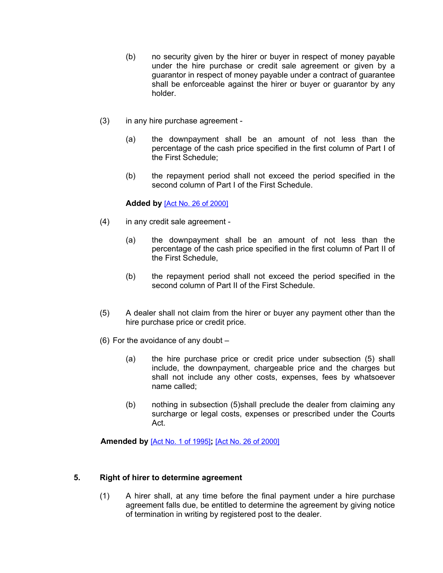- (b) no security given by the hirer or buyer in respect of money payable under the hire purchase or credit sale agreement or given by a guarantor in respect of money payable under a contract of guarantee shall be enforceable against the hirer or buyer or guarantor by any holder.
- (3) in any hire purchase agreement
	- (a) the downpayment shall be an amount of not less than the percentage of the cash price specified in the first column of Part I of the First Schedule;
	- (b) the repayment period shall not exceed the period specified in the second column of Part I of the First Schedule.

#### **Added by** [Act No. 26 of [2000\]](https://supremecourt.govmu.org/_layouts/CLIS.DMS/search/searchdocumentbykey.aspx?ID=%5BAct%20No.%2026%20of%202000%5D&list=Legislations)

- (4) in any credit sale agreement
	- (a) the downpayment shall be an amount of not less than the percentage of the cash price specified in the first column of Part II of the First Schedule,
	- (b) the repayment period shall not exceed the period specified in the second column of Part II of the First Schedule.
- (5) A dealer shall not claim from the hirer or buyer any payment other than the hire purchase price or credit price.
- (6) For the avoidance of any doubt
	- (a) the hire purchase price or credit price under subsection (5) shall include, the downpayment, chargeable price and the charges but shall not include any other costs, expenses, fees by whatsoever name called;
	- (b) nothing in subsection (5)shall preclude the dealer from claiming any surcharge or legal costs, expenses or prescribed under the Courts Act.

**Amended by** [Act No. 1 of [1995\]](https://supremecourt.govmu.org/_layouts/CLIS.DMS/search/searchdocumentbykey.aspx?ID=%5BAct%20No.%201%20of%201995%5D&list=Legislations)**;** [Act No. 26 of [2000\]](https://supremecourt.govmu.org/_layouts/CLIS.DMS/search/searchdocumentbykey.aspx?ID=%5BAct%20No.%2026%20of%202000%5D&list=Legislations)

#### <span id="page-5-0"></span>**5. Right of hirer to determine agreement**

(1) A hirer shall, at any time before the final payment under a hire purchase agreement falls due, be entitled to determine the agreement by giving notice of termination in writing by registered post to the dealer.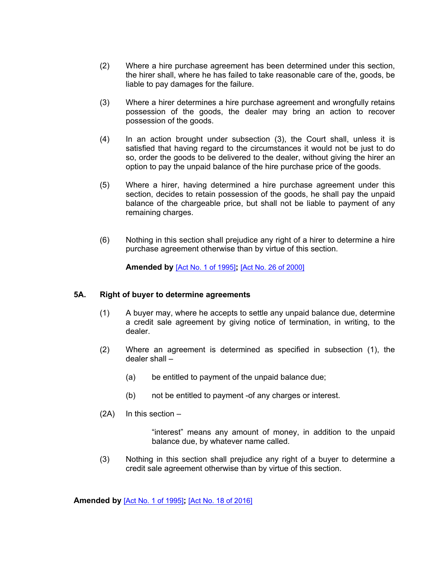- (2) Where a hire purchase agreement has been determined under this section, the hirer shall, where he has failed to take reasonable care of the, goods, be liable to pay damages for the failure.
- (3) Where a hirer determines a hire purchase agreement and wrongfully retains possession of the goods, the dealer may bring an action to recover possession of the goods.
- (4) In an action brought under subsection (3), the Court shall, unless it is satisfied that having regard to the circumstances it would not be just to do so, order the goods to be delivered to the dealer, without giving the hirer an option to pay the unpaid balance of the hire purchase price of the goods.
- (5) Where a hirer, having determined a hire purchase agreement under this section, decides to retain possession of the goods, he shall pay the unpaid balance of the chargeable price, but shall not be liable to payment of any remaining charges.
- (6) Nothing in this section shall prejudice any right of a hirer to determine a hire purchase agreement otherwise than by virtue of this section.

**Amended by** [Act No. 1 of [1995\]](https://supremecourt.govmu.org/_layouts/CLIS.DMS/search/searchdocumentbykey.aspx?ID=%5BAct%20No.%201%20of%201995%5D&list=Legislations)**;** [Act No. 26 of [2000\]](https://supremecourt.govmu.org/_layouts/CLIS.DMS/search/searchdocumentbykey.aspx?ID=%5BAct%20No.%2026%20of%202000%5D&list=Legislations)

#### **5A. Right of buyer to determine agreements**

- <span id="page-6-0"></span>(1) A buyer may, where he accepts to settle any unpaid balance due, determine a credit sale agreement by giving notice of termination, in writing, to the dealer.
- (2) Where an agreement is determined as specified in subsection (1), the dealer shall –
	- (a) be entitled to payment of the unpaid balance due;
	- (b) not be entitled to payment -of any charges or interest.
- $(2A)$  In this section –

"interest" means any amount of money, in addition to the unpaid balance due, by whatever name called.

(3) Nothing in this section shall prejudice any right of a buyer to determine a credit sale agreement otherwise than by virtue of this section.

**Amended by** [Act No. 1 of [1995\]](https://supremecourt.govmu.org/_layouts/CLIS.DMS/search/searchdocumentbykey.aspx?ID=%5BAct%20No.%201%20of%201995%5D&list=Legislations)**;** [Act No. 18 of [2016\]](https://supremecourt.govmu.org/_layouts/CLIS.DMS/search/searchdocumentbykey.aspx?ID=%5BAct%20No.%2018%20of%202016%5D&list=Legislations)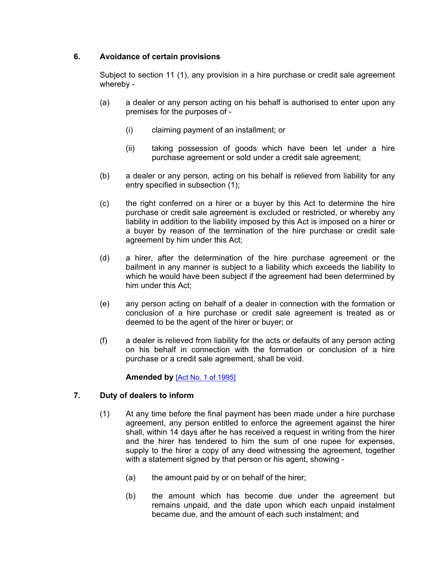## **6. Avoidance of certain provisions**

<span id="page-7-0"></span>Subject to section 11 (1), any provision in a hire purchase or credit sale agreement whereby -

- (a) a dealer or any person acting on his behalf is authorised to enter upon any premises for the purposes of -
	- (i) claiming payment of an installment; or
	- (ii) taking possession of goods which have been let under a hire purchase agreement or sold under a credit sale agreement;
- (b) a dealer or any person, acting on his behalf is relieved from liability for any entry specified in subsection (1);
- (c) the right conferred on a hirer or a buyer by this Act to determine the hire purchase or credit sale agreement is excluded or restricted, or whereby any liability in addition to the liability imposed by this Act is imposed on a hirer or a buyer by reason of the termination of the hire purchase or credit sale agreement by him under this Act;
- (d) a hirer, after the determination of the hire purchase agreement or the bailment in any manner is subject to a liability which exceeds the liability to which he would have been subject if the agreement had been determined by him under this Act;
- (e) any person acting on behalf of a dealer in connection with the formation or conclusion of a hire purchase or credit sale agreement is treated as or deemed to be the agent of the hirer or buyer; or
- (f) a dealer is relieved from liability for the acts or defaults of any person acting on his behalf in connection with the formation or conclusion of a hire purchase or a credit sale agreement, shall be void.

## **Amended by** [Act No. 1 of [1995\]](https://supremecourt.govmu.org/_layouts/CLIS.DMS/search/searchdocumentbykey.aspx?ID=%5BAct%20No.%201%20of%201995%5D&list=Legislations)

## **7. Duty of dealers to inform**

- <span id="page-7-1"></span>(1) At any time before the final payment has been made under a hire purchase agreement, any person entitled to enforce the agreement against the hirer shall, within 14 days after he has received a request in writing from the hirer and the hirer has tendered to him the sum of one rupee for expenses, supply to the hirer a copy of any deed witnessing the agreement, together with a statement signed by that person or his agent, showing -
	- (a) the amount paid by or on behalf of the hirer;
	- (b) the amount which has become due under the agreement but remains unpaid, and the date upon which each unpaid instalment became due, and the amount of each such instalment; and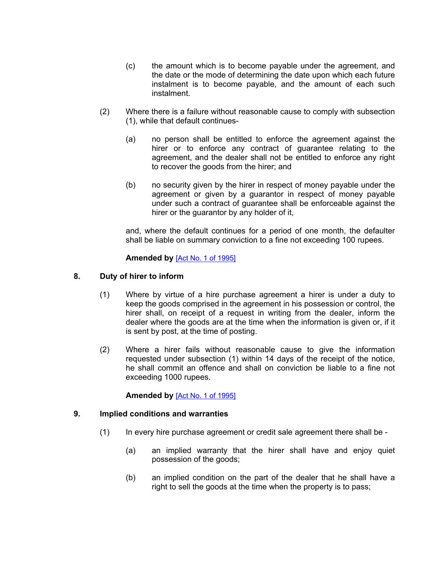- (c) the amount which is to become payable under the agreement, and the date or the mode of determining the date upon which each future instalment is to become payable, and the amount of each such instalment.
- (2) Where there is a failure without reasonable cause to comply with subsection (1), while that default continues-
	- (a) no person shall be entitled to enforce the agreement against the hirer or to enforce any contract of guarantee relating to the agreement, and the dealer shall not be entitled to enforce any right to recover the goods from the hirer; and
	- (b) no security given by the hirer in respect of money payable under the agreement or given by a guarantor in respect of money payable under such a contract of guarantee shall be enforceable against the hirer or the guarantor by any holder of it,

and, where the default continues for a period of one month, the defaulter shall be liable on summary conviction to a fine not exceeding 100 rupees.

#### **Amended by** [Act No. 1 of [1995\]](https://supremecourt.govmu.org/_layouts/CLIS.DMS/search/searchdocumentbykey.aspx?ID=%5BAct%20No.%201%20of%201995%5D&list=Legislations)

#### **8. Duty of hirer to inform**

- <span id="page-8-0"></span>(1) Where by virtue of a hire purchase agreement a hirer is under a duty to keep the goods comprised in the agreement in his possession or control, the hirer shall, on receipt of a request in writing from the dealer, inform the dealer where the goods are at the time when the information is given or, if it is sent by post, at the time of posting.
- (2) Where a hirer fails without reasonable cause to give the information requested under subsection (1) within 14 days of the receipt of the notice, he shall commit an offence and shall on conviction be liable to a fine not exceeding 1000 rupees.

#### **Amended by** [Act No. 1 of [1995\]](https://supremecourt.govmu.org/_layouts/CLIS.DMS/search/searchdocumentbykey.aspx?ID=%5BAct%20No.%201%20of%201995%5D&list=Legislations)

#### **9. Implied conditions and warranties**

- <span id="page-8-1"></span>(1) In every hire purchase agreement or credit sale agreement there shall be -
	- (a) an implied warranty that the hirer shall have and enjoy quiet possession of the goods;
	- (b) an implied condition on the part of the dealer that he shall have a right to sell the goods at the time when the property is to pass;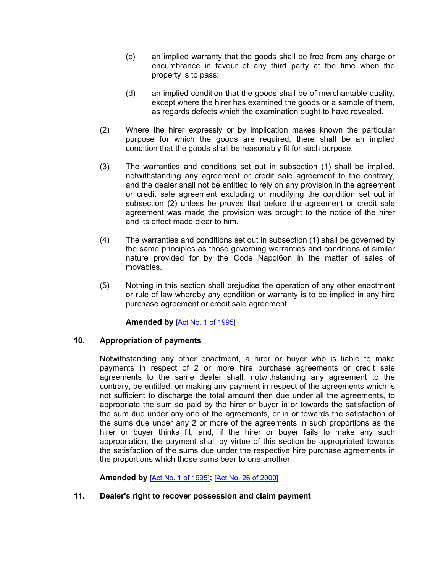- (c) an implied warranty that the goods shall be free from any charge or encumbrance in favour of any third party at the time when the property is to pass;
- (d) an implied condition that the goods shall be of merchantable quality, except where the hirer has examined the goods or a sample of them, as regards defects which the examination ought to have revealed.
- (2) Where the hirer expressly or by implication makes known the particular purpose for which the goods are required, there shall be an implied condition that the goods shall be reasonably fit for such purpose.
- (3) The warranties and conditions set out in subsection (1) shall be implied, notwithstanding any agreement or credit sale agreement to the contrary, and the dealer shall not be entitled to rely on any provision in the agreement or credit sale agreement excluding or modifying the condition set out in subsection (2) unless he proves that before the agreement or credit sale agreement was made the provision was brought to the notice of the hirer and its effect made clear to him.
- (4) The warranties and conditions set out in subsection (1) shall be governed by the same principles as those governing warranties and conditions of similar nature provided for by the Code Napol6on in the matter of sales of movables.
- (5) Nothing in this section shall prejudice the operation of any other enactment or rule of law whereby any condition or warranty is to be implied in any hire purchase agreement or credit sale agreement.

## **Amended by** [Act No. 1 of [1995\]](https://supremecourt.govmu.org/_layouts/CLIS.DMS/search/searchdocumentbykey.aspx?ID=%5BAct%20No.%201%20of%201995%5D&list=Legislations)

## **10. Appropriation of payments**

<span id="page-9-0"></span>Notwithstanding any other enactment, a hirer or buyer who is liable to make payments in respect of 2 or more hire purchase agreements or credit sale agreements to the same dealer shall, notwithstanding any agreement to the contrary, be entitled, on making any payment in respect of the agreements which is not sufficient to discharge the total amount then due under all the agreements, to appropriate the sum so paid by the hirer or buyer in or towards the satisfaction of the sum due under any one of the agreements, or in or towards the satisfaction of the sums due under any 2 or more of the agreements in such proportions as the hirer or buyer thinks fit, and, if the hirer or buyer fails to make any such appropriation, the payment shall by virtue of this section be appropriated towards the satisfaction of the sums due under the respective hire purchase agreements in the proportions which those sums bear to one another.

<span id="page-9-1"></span>**Amended by** [Act No. 1 of [1995\]](https://supremecourt.govmu.org/_layouts/CLIS.DMS/search/searchdocumentbykey.aspx?ID=%5BAct%20No.%201%20of%201995%5D&list=Legislations)**;** [Act No. 26 of [2000\]](https://supremecourt.govmu.org/_layouts/CLIS.DMS/search/searchdocumentbykey.aspx?ID=%5BAct%20No.%2026%20of%202000%5D&list=Legislations)

## **11. Dealer's right to recover possession and claim payment**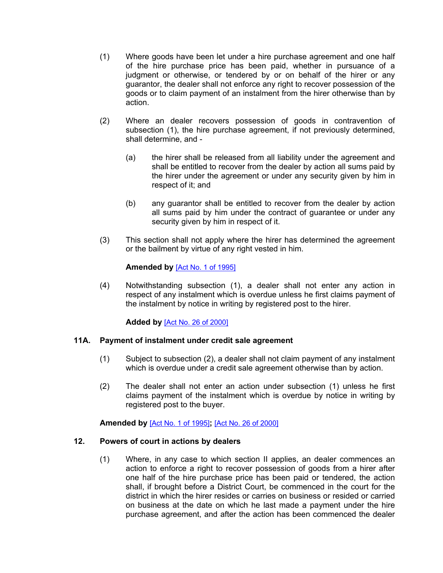- (1) Where goods have been let under a hire purchase agreement and one half of the hire purchase price has been paid, whether in pursuance of a judgment or otherwise, or tendered by or on behalf of the hirer or any guarantor, the dealer shall not enforce any right to recover possession of the goods or to claim payment of an instalment from the hirer otherwise than by action.
- (2) Where an dealer recovers possession of goods in contravention of subsection (1), the hire purchase agreement, if not previously determined, shall determine, and -
	- (a) the hirer shall be released from all liability under the agreement and shall be entitled to recover from the dealer by action all sums paid by the hirer under the agreement or under any security given by him in respect of it; and
	- (b) any guarantor shall be entitled to recover from the dealer by action all sums paid by him under the contract of guarantee or under any security given by him in respect of it.
- (3) This section shall not apply where the hirer has determined the agreement or the bailment by virtue of any right vested in him.

## **Amended by** [Act No. 1 of [1995\]](https://supremecourt.govmu.org/_layouts/CLIS.DMS/search/searchdocumentbykey.aspx?ID=%5BAct%20No.%201%20of%201995%5D&list=Legislations)

(4) Notwithstanding subsection (1), a dealer shall not enter any action in respect of any instalment which is overdue unless he first claims payment of the instalment by notice in writing by registered post to the hirer.

## **Added by** [Act No. 26 of [2000\]](https://supremecourt.govmu.org/_layouts/CLIS.DMS/search/searchdocumentbykey.aspx?ID=%5BAct%20No.%2026%20of%202000%5D&list=Legislations)

#### **11A. Payment of instalment under credit sale agreement**

- (1) Subject to subsection (2), a dealer shall not claim payment of any instalment which is overdue under a credit sale agreement otherwise than by action.
- (2) The dealer shall not enter an action under subsection (1) unless he first claims payment of the instalment which is overdue by notice in writing by registered post to the buyer.

**Amended by** [Act No. 1 of [1995\]](https://supremecourt.govmu.org/_layouts/CLIS.DMS/search/searchdocumentbykey.aspx?ID=%5BAct%20No.%201%20of%201995%5D&list=Legislations)**;** [Act No. 26 of [2000\]](https://supremecourt.govmu.org/_layouts/CLIS.DMS/search/searchdocumentbykey.aspx?ID=%5BAct%20No.%2026%20of%202000%5D&list=Legislations)

#### <span id="page-10-0"></span>**12. Powers of court in actions by dealers**

(1) Where, in any case to which section II applies, an dealer commences an action to enforce a right to recover possession of goods from a hirer after one half of the hire purchase price has been paid or tendered, the action shall, if brought before a District Court, be commenced in the court for the district in which the hirer resides or carries on business or resided or carried on business at the date on which he last made a payment under the hire purchase agreement, and after the action has been commenced the dealer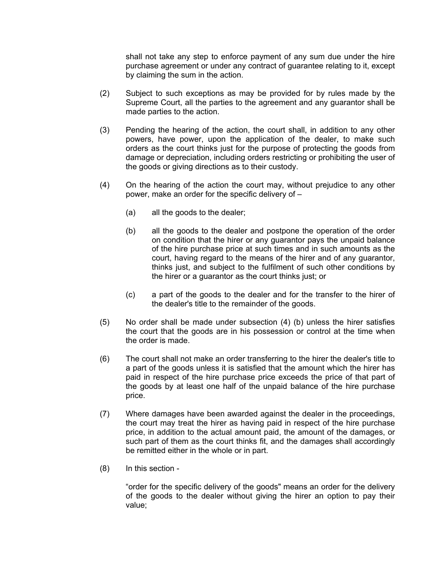shall not take any step to enforce payment of any sum due under the hire purchase agreement or under any contract of guarantee relating to it, except by claiming the sum in the action.

- (2) Subject to such exceptions as may be provided for by rules made by the Supreme Court, all the parties to the agreement and any guarantor shall be made parties to the action.
- (3) Pending the hearing of the action, the court shall, in addition to any other powers, have power, upon the application of the dealer, to make such orders as the court thinks just for the purpose of protecting the goods from damage or depreciation, including orders restricting or prohibiting the user of the goods or giving directions as to their custody.
- (4) On the hearing of the action the court may, without prejudice to any other power, make an order for the specific delivery of –
	- (a) all the goods to the dealer;
	- (b) all the goods to the dealer and postpone the operation of the order on condition that the hirer or any guarantor pays the unpaid balance of the hire purchase price at such times and in such amounts as the court, having regard to the means of the hirer and of any guarantor, thinks just, and subject to the fulfilment of such other conditions by the hirer or a guarantor as the court thinks just; or
	- (c) a part of the goods to the dealer and for the transfer to the hirer of the dealer's title to the remainder of the goods.
- (5) No order shall be made under subsection (4) (b) unless the hirer satisfies the court that the goods are in his possession or control at the time when the order is made.
- (6) The court shall not make an order transferring to the hirer the dealer's title to a part of the goods unless it is satisfied that the amount which the hirer has paid in respect of the hire purchase price exceeds the price of that part of the goods by at least one half of the unpaid balance of the hire purchase price.
- (7) Where damages have been awarded against the dealer in the proceedings, the court may treat the hirer as having paid in respect of the hire purchase price, in addition to the actual amount paid, the amount of the damages, or such part of them as the court thinks fit, and the damages shall accordingly be remitted either in the whole or in part.
- (8) In this section -

"order for the specific delivery of the goods" means an order for the delivery of the goods to the dealer without giving the hirer an option to pay their value;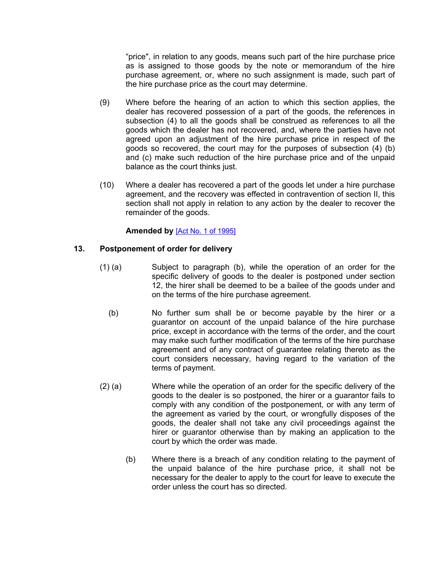"price", in relation to any goods, means such part of the hire purchase price as is assigned to those goods by the note or memorandum of the hire purchase agreement, or, where no such assignment is made, such part of the hire purchase price as the court may determine.

- (9) Where before the hearing of an action to which this section applies, the dealer has recovered possession of a part of the goods, the references in subsection (4) to all the goods shall be construed as references to all the goods which the dealer has not recovered, and, where the parties have not agreed upon an adjustment of the hire purchase price in respect of the goods so recovered, the court may for the purposes of subsection (4) (b) and (c) make such reduction of the hire purchase price and of the unpaid balance as the court thinks just.
- (10) Where a dealer has recovered a part of the goods let under a hire purchase agreement, and the recovery was effected in contravention of section II, this section shall not apply in relation to any action by the dealer to recover the remainder of the goods.

## **Amended by** [Act No. 1 of [1995\]](https://supremecourt.govmu.org/_layouts/CLIS.DMS/search/searchdocumentbykey.aspx?ID=%5BAct%20No.%201%20of%201995%5D&list=Legislations)

## <span id="page-12-0"></span>**13. Postponement of order for delivery**

- (1) (a) Subject to paragraph (b), while the operation of an order for the specific delivery of goods to the dealer is postponed under section 12, the hirer shall be deemed to be a bailee of the goods under and on the terms of the hire purchase agreement.
	- (b) No further sum shall be or become payable by the hirer or a guarantor on account of the unpaid balance of the hire purchase price, except in accordance with the terms of the order, and the court may make such further modification of the terms of the hire purchase agreement and of any contract of guarantee relating thereto as the court considers necessary, having regard to the variation of the terms of payment.
- (2) (a) Where while the operation of an order for the specific delivery of the goods to the dealer is so postponed, the hirer or a guarantor fails to comply with any condition of the postponement, or with any term of the agreement as varied by the court, or wrongfully disposes of the goods, the dealer shall not take any civil proceedings against the hirer or guarantor otherwise than by making an application to the court by which the order was made.
	- (b) Where there is a breach of any condition relating to the payment of the unpaid balance of the hire purchase price, it shall not be necessary for the dealer to apply to the court for leave to execute the order unless the court has so directed.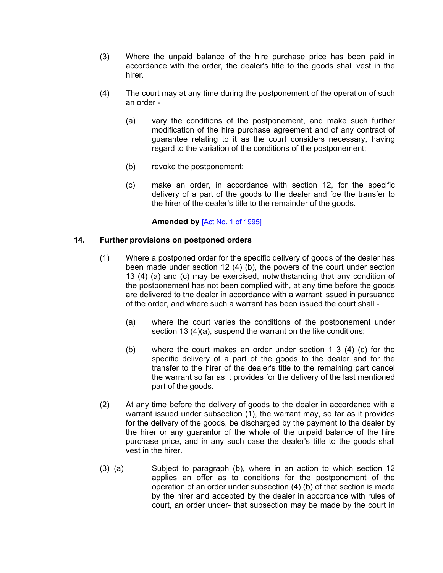- (3) Where the unpaid balance of the hire purchase price has been paid in accordance with the order, the dealer's title to the goods shall vest in the hirer.
- (4) The court may at any time during the postponement of the operation of such an order -
	- (a) vary the conditions of the postponement, and make such further modification of the hire purchase agreement and of any contract of guarantee relating to it as the court considers necessary, having regard to the variation of the conditions of the postponement;
	- (b) revoke the postponement;
	- (c) make an order, in accordance with section 12, for the specific delivery of a part of the goods to the dealer and foe the transfer to the hirer of the dealer's title to the remainder of the goods.

## **Amended by** [Act No. 1 of [1995\]](https://supremecourt.govmu.org/_layouts/CLIS.DMS/search/searchdocumentbykey.aspx?ID=%5BAct%20No.%201%20of%201995%5D&list=Legislations)

## <span id="page-13-0"></span>**14. Further provisions on postponed orders**

- (1) Where a postponed order for the specific delivery of goods of the dealer has been made under section 12 (4) (b), the powers of the court under section 13 (4) (a) and (c) may be exercised, notwithstanding that any condition of the postponement has not been complied with, at any time before the goods are delivered to the dealer in accordance with a warrant issued in pursuance of the order, and where such a warrant has been issued the court shall -
	- (a) where the court varies the conditions of the postponement under section 13 (4)(a), suspend the warrant on the like conditions;
	- (b) where the court makes an order under section 1 3 (4) (c) for the specific delivery of a part of the goods to the dealer and for the transfer to the hirer of the dealer's title to the remaining part cancel the warrant so far as it provides for the delivery of the last mentioned part of the goods.
- (2) At any time before the delivery of goods to the dealer in accordance with a warrant issued under subsection (1), the warrant may, so far as it provides for the delivery of the goods, be discharged by the payment to the dealer by the hirer or any guarantor of the whole of the unpaid balance of the hire purchase price, and in any such case the dealer's title to the goods shall vest in the hirer.
- (3) (a) Subject to paragraph (b), where in an action to which section 12 applies an offer as to conditions for the postponement of the operation of an order under subsection (4) (b) of that section is made by the hirer and accepted by the dealer in accordance with rules of court, an order under- that subsection may be made by the court in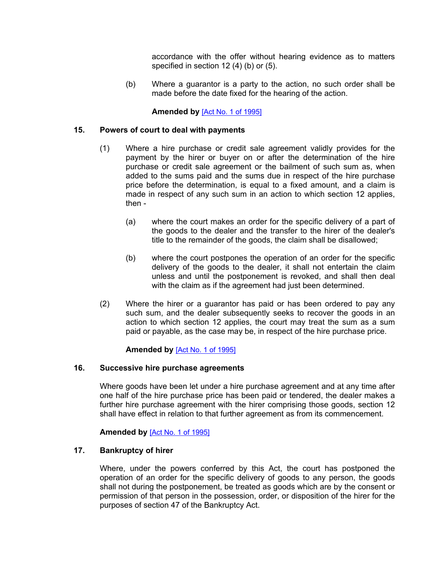accordance with the offer without hearing evidence as to matters specified in section 12 (4) (b) or (5).

(b) Where a guarantor is a party to the action, no such order shall be made before the date fixed for the hearing of the action.

## **Amended by** [Act No. 1 of [1995\]](https://supremecourt.govmu.org/_layouts/CLIS.DMS/search/searchdocumentbykey.aspx?ID=%5BAct%20No.%201%20of%201995%5D&list=Legislations)

## **15. Powers of court to deal with payments**

- <span id="page-14-0"></span>(1) Where a hire purchase or credit sale agreement validly provides for the payment by the hirer or buyer on or after the determination of the hire purchase or credit sale agreement or the bailment of such sum as, when added to the sums paid and the sums due in respect of the hire purchase price before the determination, is equal to a fixed amount, and a claim is made in respect of any such sum in an action to which section 12 applies, then -
	- (a) where the court makes an order for the specific delivery of a part of the goods to the dealer and the transfer to the hirer of the dealer's title to the remainder of the goods, the claim shall be disallowed;
	- (b) where the court postpones the operation of an order for the specific delivery of the goods to the dealer, it shall not entertain the claim unless and until the postponement is revoked, and shall then deal with the claim as if the agreement had just been determined.
- (2) Where the hirer or a guarantor has paid or has been ordered to pay any such sum, and the dealer subsequently seeks to recover the goods in an action to which section 12 applies, the court may treat the sum as a sum paid or payable, as the case may be, in respect of the hire purchase price.

## **Amended by** [Act No. 1 of [1995\]](https://supremecourt.govmu.org/_layouts/CLIS.DMS/search/searchdocumentbykey.aspx?ID=%5BAct%20No.%201%20of%201995%5D&list=Legislations)

#### **16. Successive hire purchase agreements**

<span id="page-14-1"></span>Where goods have been let under a hire purchase agreement and at any time after one half of the hire purchase price has been paid or tendered, the dealer makes a further hire purchase agreement with the hirer comprising those goods, section 12 shall have effect in relation to that further agreement as from its commencement.

#### <span id="page-14-2"></span>**Amended by** [Act No. 1 of [1995\]](https://supremecourt.govmu.org/_layouts/CLIS.DMS/search/searchdocumentbykey.aspx?ID=%5BAct%20No.%201%20of%201995%5D&list=Legislations)

## **17. Bankruptcy of hirer**

Where, under the powers conferred by this Act, the court has postponed the operation of an order for the specific delivery of goods to any person, the goods shall not during the postponement, be treated as goods which are by the consent or permission of that person in the possession, order, or disposition of the hirer for the purposes of section 47 of the Bankruptcy Act.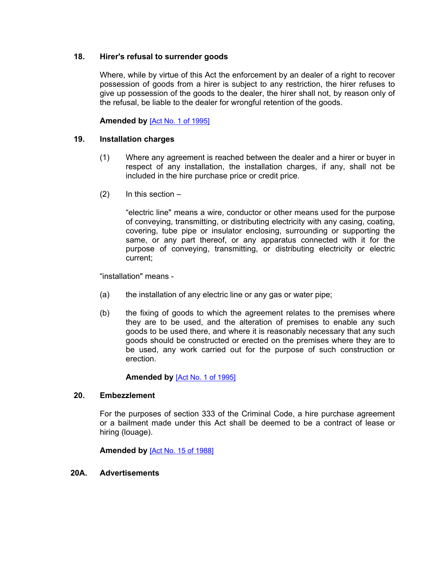## **18. Hirer's refusal to surrender goods**

<span id="page-15-0"></span>Where, while by virtue of this Act the enforcement by an dealer of a right to recover possession of goods from a hirer is subject to any restriction, the hirer refuses to give up possession of the goods to the dealer, the hirer shall not, by reason only of the refusal, be liable to the dealer for wrongful retention of the goods.

## <span id="page-15-1"></span>**Amended by** [Act No. 1 of [1995\]](https://supremecourt.govmu.org/_layouts/CLIS.DMS/search/searchdocumentbykey.aspx?ID=%5BAct%20No.%201%20of%201995%5D&list=Legislations)

## **19. Installation charges**

- (1) Where any agreement is reached between the dealer and a hirer or buyer in respect of any installation, the installation charges, if any, shall not be included in the hire purchase price or credit price.
- $(2)$  In this section –

"electric line" means a wire, conductor or other means used for the purpose of conveying, transmitting, or distributing electricity with any casing, coating, covering, tube pipe or insulator enclosing, surrounding or supporting the same, or any part thereof, or any apparatus connected with it for the purpose of conveying, transmitting, or distributing electricity or electric current;

"installation" means -

- (a) the installation of any electric line or any gas or water pipe;
- (b) the fixing of goods to which the agreement relates to the premises where they are to be used, and the alteration of premises to enable any such goods to be used there, and where it is reasonably necessary that any such goods should be constructed or erected on the premises where they are to be used, any work carried out for the purpose of such construction or erection.

#### **Amended by** [Act No. 1 of [1995\]](https://supremecourt.govmu.org/_layouts/CLIS.DMS/search/searchdocumentbykey.aspx?ID=%5BAct%20No.%201%20of%201995%5D&list=Legislations)

#### **20. Embezzlement**

<span id="page-15-2"></span>For the purposes of section 333 of the Criminal Code, a hire purchase agreement or a bailment made under this Act shall be deemed to be a contract of lease or hiring (louage).

**Amended by** [Act No. 15 of [1988\]](https://supremecourt.govmu.org/_layouts/CLIS.DMS/search/searchdocumentbykey.aspx?ID=%5BAct%20No.%2015%20of%201988%5D&list=Legislations)

#### <span id="page-15-3"></span>**20A. Advertisements**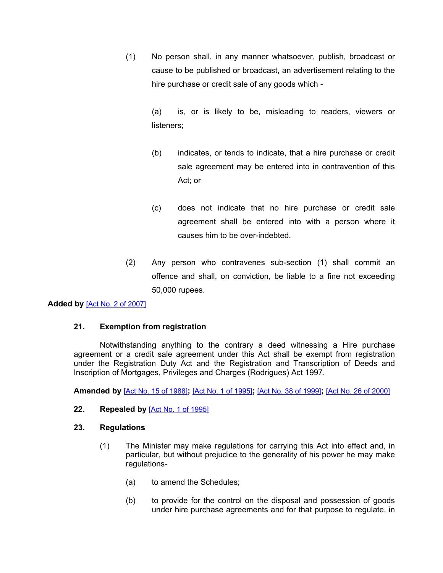(1) No person shall, in any manner whatsoever, publish, broadcast or cause to be published or broadcast, an advertisement relating to the hire purchase or credit sale of any goods which -

> (a) is, or is likely to be, misleading to readers, viewers or listeners;

- (b) indicates, or tends to indicate, that a hire purchase or credit sale agreement may be entered into in contravention of this Act; or
- (c) does not indicate that no hire purchase or credit sale agreement shall be entered into with a person where it causes him to be over-indebted.
- (2) Any person who contravenes sub-section (1) shall commit an offence and shall, on conviction, be liable to a fine not exceeding 50,000 rupees.

## **Added by** [Act No. 2 of [2007\]](https://supremecourt.govmu.org/_layouts/CLIS.DMS/search/searchdocumentbykey.aspx?ID=%5BAct%20No.%202%20of%202007%5D&list=Legislations)

## **21. Exemption from registration**

Notwithstanding anything to the contrary a deed witnessing a Hire purchase agreement or a credit sale agreement under this Act shall be exempt from registration under the Registration Duty Act and the Registration and Transcription of Deeds and Inscription of Mortgages, Privileges and Charges (Rodrigues) Act 1997.

**Amended by** [Act No. 15 of [1988\]](https://supremecourt.govmu.org/_layouts/CLIS.DMS/search/searchdocumentbykey.aspx?ID=%5BAct%20No.%2015%20of%201988%5D&list=Legislations)**;** [Act No. 1 of [1995\]](https://supremecourt.govmu.org/_layouts/CLIS.DMS/search/searchdocumentbykey.aspx?ID=%5BAct%20No.%201%20of%201995%5D&list=Legislations)**;** [Act No. 38 of [1999\]](https://supremecourt.govmu.org/_layouts/CLIS.DMS/search/searchdocumentbykey.aspx?ID=%5BAct%20No.%2038%20of%201999%5D&list=Legislations)**;** [Act No. 26 of [2000\]](https://supremecourt.govmu.org/_layouts/CLIS.DMS/search/searchdocumentbykey.aspx?ID=%5BAct%20No.%2026%20of%202000%5D&list=Legislations)

#### <span id="page-16-0"></span>**22. Repealed by** [Act No. 1 of [1995\]](https://supremecourt.govmu.org/_layouts/CLIS.DMS/search/searchdocumentbykey.aspx?ID=%5BAct%20No.%201%20of%201995%5D&list=Legislations)

## **23. Regulations**

- <span id="page-16-1"></span>(1) The Minister may make regulations for carrying this Act into effect and, in particular, but without prejudice to the generality of his power he may make regulations-
	- (a) to amend the Schedules;
	- (b) to provide for the control on the disposal and possession of goods under hire purchase agreements and for that purpose to regulate, in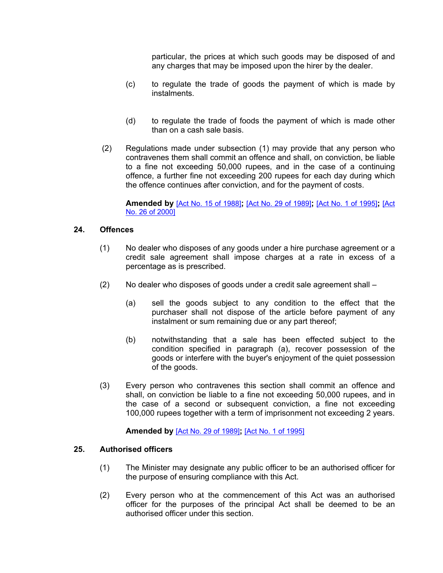particular, the prices at which such goods may be disposed of and any charges that may be imposed upon the hirer by the dealer.

- (c) to regulate the trade of goods the payment of which is made by instalments.
- (d) to regulate the trade of foods the payment of which is made other than on a cash sale basis.
- (2) Regulations made under subsection (1) may provide that any person who contravenes them shall commit an offence and shall, on conviction, be liable to a fine not exceeding 50,000 rupees, and in the case of a continuing offence, a further fine not exceeding 200 rupees for each day during which the offence continues after conviction, and for the payment of costs.

**Amended by** [Act No. 15 of [1988\]](https://supremecourt.govmu.org/_layouts/CLIS.DMS/search/searchdocumentbykey.aspx?ID=%5BAct%20No.%2015%20of%201988%5D&list=Legislations)**;** [Act No. 29 of [1989\]](https://supremecourt.govmu.org/_layouts/CLIS.DMS/search/searchdocumentbykey.aspx?ID=%5BAct%20No.%2029%20of%201989%5D&list=Legislations)**;** [Act No. 1 of [1995\]](https://supremecourt.govmu.org/_layouts/CLIS.DMS/search/searchdocumentbykey.aspx?ID=%5BAct%20No.%201%20of%201995%5D&list=Legislations)**;** [\[Act](https://supremecourt.govmu.org/_layouts/CLIS.DMS/search/searchdocumentbykey.aspx?ID=%5BAct%20No.%2026%20of%202000%5D&list=Legislations) No. 26 of [2000\]](https://supremecourt.govmu.org/_layouts/CLIS.DMS/search/searchdocumentbykey.aspx?ID=%5BAct%20No.%2026%20of%202000%5D&list=Legislations)

## **24. Offences**

- <span id="page-17-0"></span>(1) No dealer who disposes of any goods under a hire purchase agreement or a credit sale agreement shall impose charges at a rate in excess of a percentage as is prescribed.
- (2) No dealer who disposes of goods under a credit sale agreement shall
	- (a) sell the goods subject to any condition to the effect that the purchaser shall not dispose of the article before payment of any instalment or sum remaining due or any part thereof;
	- (b) notwithstanding that a sale has been effected subject to the condition specified in paragraph (a), recover possession of the goods or interfere with the buyer's enjoyment of the quiet possession of the goods.
- (3) Every person who contravenes this section shall commit an offence and shall, on conviction be liable to a fine not exceeding 50,000 rupees, and in the case of a second or subsequent conviction, a fine not exceeding 100,000 rupees together with a term of imprisonment not exceeding 2 years.

**Amended by** [Act No. 29 of [1989\]](https://supremecourt.govmu.org/_layouts/CLIS.DMS/search/searchdocumentbykey.aspx?ID=%5BAct%20No.%2029%20of%201989%5D&list=Legislations)**;** [Act No. 1 of [1995\]](https://supremecourt.govmu.org/_layouts/CLIS.DMS/search/searchdocumentbykey.aspx?ID=%5BAct%20No.%201%20of%201995%5D&list=Legislations)

#### **25. Authorised officers**

- <span id="page-17-1"></span>(1) The Minister may designate any public officer to be an authorised officer for the purpose of ensuring compliance with this Act.
- (2) Every person who at the commencement of this Act was an authorised officer for the purposes of the principal Act shall be deemed to be an authorised officer under this section.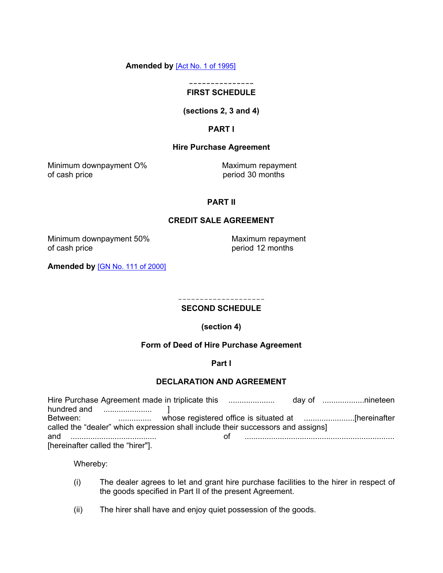#### **Amended by** [Act No. 1 of [1995\]](https://supremecourt.govmu.org/_layouts/CLIS.DMS/search/searchdocumentbykey.aspx?ID=%5BAct%20No.%201%20of%201995%5D&list=Legislations)

#### **--------------- FIRST SCHEDULE**

## **(sections 2, 3 and 4)**

## **PART I**

## **Hire Purchase Agreement**

Minimum downpayment O% Maximum repayment of cash price period 30 months

## **PART II**

#### **CREDIT SALE AGREEMENT**

Minimum downpayment 50% Maximum repayment<br>of cash price of cash price

period 12 months

**Amended by** [GN No. 111 of [2000\]](https://supremecourt.govmu.org/_layouts/CLIS.DMS/search/searchdocumentbykey.aspx?ID=%5BGN%20No.%20111%20of%202000%5D&list=Legislations)

#### -------------------- **SECOND SCHEDULE**

**(section 4)**

## **Form of Deed of Hire Purchase Agreement**

#### **Part I**

#### **DECLARATION AND AGREEMENT**

| called the "dealer" which expression shall include their successors and assigns] |                            |
|----------------------------------------------------------------------------------|----------------------------|
|                                                                                  | 0† …………………………………………………………… |
| [hereinafter called the "hirer"].                                                |                            |

Whereby:

- (i) The dealer agrees to let and grant hire purchase facilities to the hirer in respect of the goods specified in Part II of the present Agreement.
- (ii) The hirer shall have and enjoy quiet possession of the goods.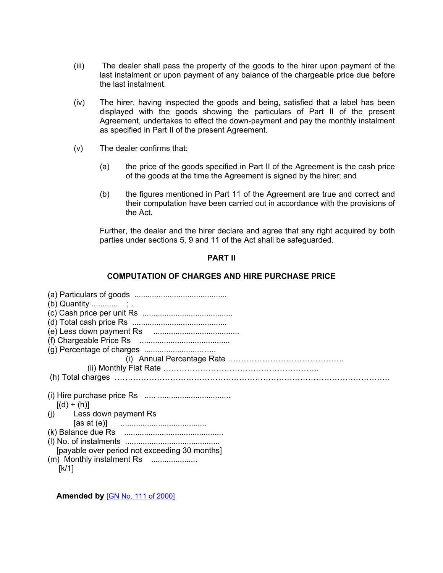- (iii) The dealer shall pass the property of the goods to the hirer upon payment of the last instalment or upon payment of any balance of the chargeable price due before the last instalment.
- (iv) The hirer, having inspected the goods and being, satisfied that a label has been displayed with the goods showing the particulars of Part II of the present Agreement, undertakes to effect the down-payment and pay the monthly instalment as specified in Part II of the present Agreement.
- (v) The dealer confirms that:
	- (a) the price of the goods specified in Part II of the Agreement is the cash price of the goods at the time the Agreement is signed by the hirer; and
	- (b) the figures mentioned in Part 11 of the Agreement are true and correct and their computation have been carried out in accordance with the provisions of the Act.

Further, the dealer and the hirer declare and agree that any right acquired by both parties under sections 5, 9 and 11 of the Act shall be safeguarded.

#### **PART II**

## **COMPUTATION OF CHARGES AND HIRE PURCHASE PRICE**

| $[(d) + (h)]$                                 |
|-----------------------------------------------|
| (i) Less down payment Rs                      |
|                                               |
|                                               |
|                                               |
|                                               |
| [payable over period not exceeding 30 months] |
| (m) Monthly instalment Rs                     |

 **Amended by** [GN No. 111 of [2000\]](https://supremecourt.govmu.org/_layouts/CLIS.DMS/search/searchdocumentbykey.aspx?ID=%5BGN%20No.%20111%20of%202000%5D&list=Legislations)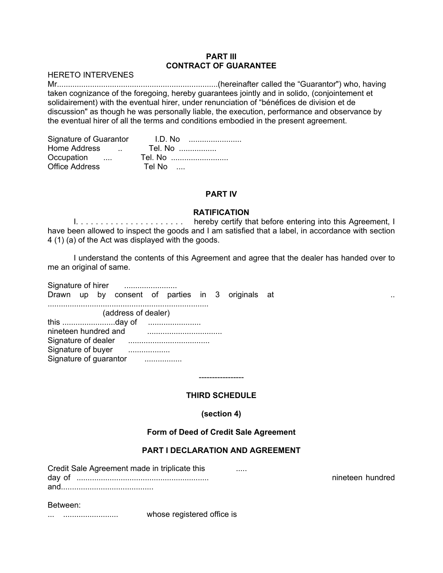#### **PART III CONTRACT OF GUARANTEE**

HERETO INTERVENES

Mr.........................................................................(hereinafter called the "Guarantor") who, having taken cognizance of the foregoing, hereby guarantees jointly and in solido, (conjointement et solidairement) with the eventual hirer, under renunciation of "bénéfices de division et de discussion" as though he was personally liable, the execution, performance and observance by the eventual hirer of all the terms and conditions embodied in the present agreement.

| Signature of Guarantor | I.D. No |
|------------------------|---------|
| Home Address<br>$\sim$ | Tel. No |
| Occupation             | Tel. No |
| <b>Office Address</b>  | Tel No  |

## **PART IV**

## **RATIFICATION**

I. . . . . . . . . . . . . . . . . . . . . . hereby certify that before entering into this Agreement, I have been allowed to inspect the goods and I am satisfied that a label, in accordance with section 4 (1) (a) of the Act was displayed with the goods.

I understand the contents of this Agreement and agree that the dealer has handed over to me an original of same.

Signature of hirer ........................ Drawn up by consent of parties in 3 originals at metal of the conservation of the metal of the conservation of the conservation of the conservation of the conservation of the conservation of the conservation of the conserv ......................................................................... (address of dealer) this ........................day of ........................ nineteen hundred and .................................. Signature of dealer ..................................... Signature of buyer ................... Signature of quarantor ..................

## **THIRD SCHEDULE**

-----------------

**(section 4)**

## **Form of Deed of Credit Sale Agreement**

## **PART I DECLARATION AND AGREEMENT**

Credit Sale Agreement made in triplicate this ..... day of ............................................................ nineteen hundred and..........................................

#### Between:

... ......................... whose registered office is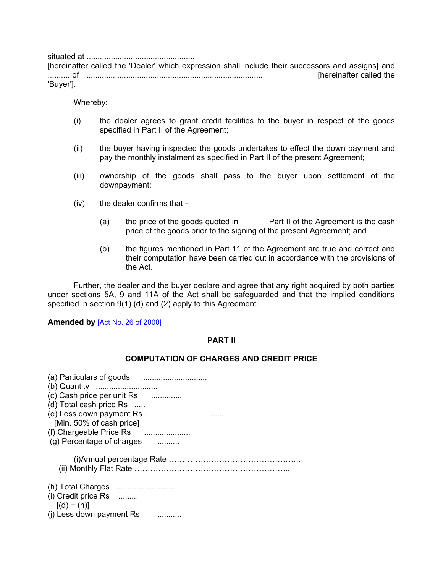situated at .................................................

[hereinafter called the 'Dealer' which expression shall include their successors and assigns] and .......... of ................................................................................ [hereinafter called the 'Buyer'].

Whereby:

- (i) the dealer agrees to grant credit facilities to the buyer in respect of the goods specified in Part II of the Agreement;
- (ii) the buyer having inspected the goods undertakes to effect the down payment and pay the monthly instalment as specified in Part II of the present Agreement;
- (iii) ownership of the goods shall pass to the buyer upon settlement of the downpayment;
- (iv) the dealer confirms that
	- (a) the price of the goods quoted in Part II of the Agreement is the cash price of the goods prior to the signing of the present Agreement; and
	- (b) the figures mentioned in Part 11 of the Agreement are true and correct and their computation have been carried out in accordance with the provisions of the Act.

Further, the dealer and the buyer declare and agree that any right acquired by both parties under sections 5A, 9 and 11A of the Act shall be safeguarded and that the implied conditions specified in section 9(1) (d) and (2) apply to this Agreement.

**Amended by** [Act No. 26 of [2000\]](https://supremecourt.govmu.org/_layouts/CLIS.DMS/search/searchdocumentbykey.aspx?ID=%5BAct%20No.%2026%20of%202000%5D&list=Legislations)

#### **PART II**

#### **COMPUTATION OF CHARGES AND CREDIT PRICE**

| (c) Cash price per unit Rs<br>.<br>(d) Total cash price Rs<br>(e) Less down payment Rs.<br>[Min. 50% of cash price]<br>(f) Chargeable Price Rs<br>(g) Percentage of charges |
|-----------------------------------------------------------------------------------------------------------------------------------------------------------------------------|
|                                                                                                                                                                             |
| $(i)$ Credit price Rs<br>$[(d) + (h)]$<br>(i) Less down payment Rs                                                                                                          |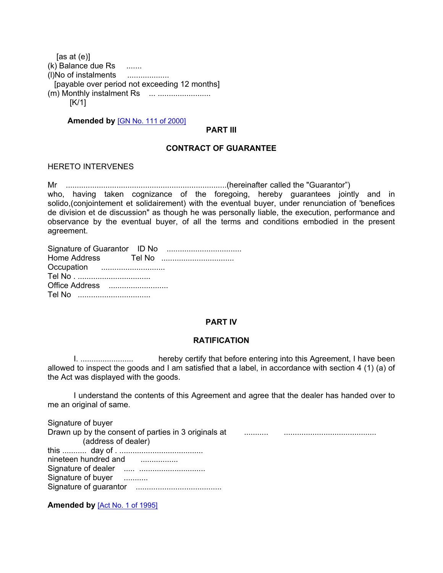[as at (e)] (k) Balance due Rs ....... (l)No of instalments ................... [payable over period not exceeding 12 months]  $(m)$  Monthly instalment Rs  $\ldots$   $\ldots$   $\ldots$   $\ldots$   $\ldots$   $\ldots$ [K/1]

 **Amended by** [GN No. 111 of [2000\]](https://supremecourt.govmu.org/_layouts/CLIS.DMS/search/searchdocumentbykey.aspx?ID=%5BGN%20No.%20111%20of%202000%5D&list=Legislations)

#### **PART III**

## **CONTRACT OF GUARANTEE**

HERETO INTERVENES

Mr .........................................................................(hereinafter called the "Guarantor") who, having taken cognizance of the foregoing, hereby guarantees jointly and in solido,(conjointement et solidairement) with the eventual buyer, under renunciation of 'benefices de division et de discussion" as though he was personally liable, the execution, performance and observance by the eventual buyer, of all the terms and conditions embodied in the present agreement.

| Occupation     |  |
|----------------|--|
|                |  |
| Office Address |  |
| Tel No         |  |

## **PART IV**

#### **RATIFICATION**

I. ........................ hereby certify that before entering into this Agreement, I have been allowed to inspect the goods and I am satisfied that a label, in accordance with section 4 (1) (a) of the Act was displayed with the goods.

I understand the contents of this Agreement and agree that the dealer has handed over to me an original of same.

Signature of buyer Drawn up by the consent of parties in 3 originals at ........... .......................................... (address of dealer) this ........... day of . ...................................... nineteen hundred and .................. Signature of dealer ..... .............................. Signature of buyer ............ Signature of guarantor .......................................

**Amended by** [Act No. 1 of [1995\]](https://supremecourt.govmu.org/_layouts/CLIS.DMS/search/searchdocumentbykey.aspx?ID=%5BAct%20No.%201%20of%201995%5D&list=Legislations)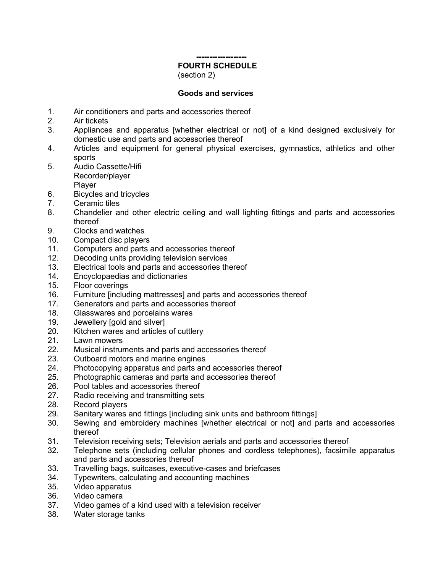#### **-------------------**

# **FOURTH SCHEDULE**

(section 2)

## **Goods and services**

- 1. Air conditioners and parts and accessories thereof
- 2. Air tickets
- 3. Appliances and apparatus [whether electrical or not] of a kind designed exclusively for domestic use and parts and accessories thereof
- 4. Articles and equipment for general physical exercises, gymnastics, athletics and other sports
- 5. Audio Cassette/Hifi
	- Recorder/player

Player

- 6. Bicycles and tricycles
- 7. Ceramic tiles
- 8. Chandelier and other electric ceiling and wall lighting fittings and parts and accessories thereof
- 9. Clocks and watches
- 10. Compact disc players
- 11. Computers and parts and accessories thereof
- 12. Decoding units providing television services
- 13. Electrical tools and parts and accessories thereof
- 14. Encyclopaedias and dictionaries
- 15. Floor coverings
- 16. Furniture [including mattresses] and parts and accessories thereof
- 17. Generators and parts and accessories thereof
- 18. Glasswares and porcelains wares
- 19. Jewellery [gold and silver]
- 20. Kitchen wares and articles of cuttlery
- 21. Lawn mowers
- 22. Musical instruments and parts and accessories thereof
- 23. Outboard motors and marine engines
- 24. Photocopying apparatus and parts and accessories thereof
- 25. Photographic cameras and parts and accessories thereof
- 26. Pool tables and accessories thereof
- 27. Radio receiving and transmitting sets
- 28. Record players
- 29. Sanitary wares and fittings [including sink units and bathroom fittings]
- 30. Sewing and embroidery machines [whether electrical or not] and parts and accessories thereof
- 31. Television receiving sets; Television aerials and parts and accessories thereof
- 32. Telephone sets (including cellular phones and cordless telephones), facsimile apparatus and parts and accessories thereof
- 33. Travelling bags, suitcases, executive-cases and briefcases
- 34. Typewriters, calculating and accounting machines
- 35. Video apparatus<br>36. Video camera
- Video camera
- 37. Video games of a kind used with a television receiver
- 38. Water storage tanks